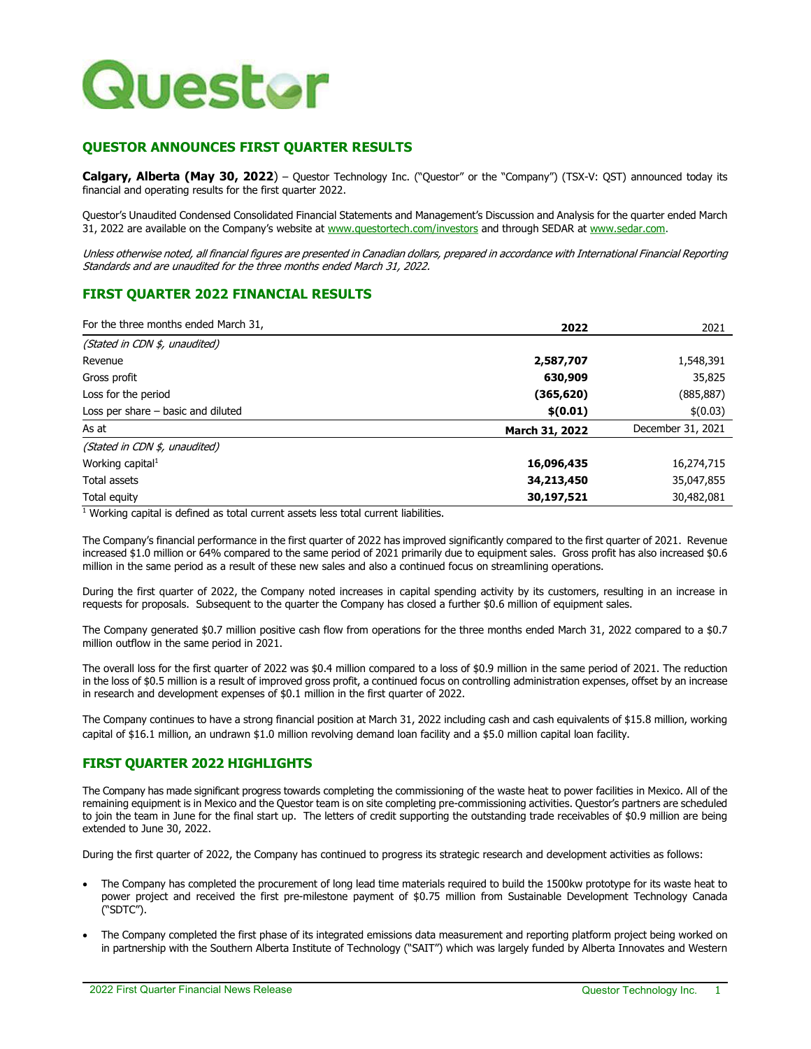## QUESTOR ANNOUNCES FIRST QUARTER RESULTS

Calgary, Alberta (May 30, 2022) – Questor Technology Inc. ("Questor" or the "Company") (TSX-V: QST) announced today its financial and operating results for the first quarter 2022.

Questor's Unaudited Condensed Consolidated Financial Statements and Management's Discussion and Analysis for the quarter ended March 31, 2022 are available on the Company's website at www.questortech.com/investors and through SEDAR at www.sedar.com.

Unless otherwise noted, all financial figures are presented in Canadian dollars, prepared in accordance with International Financial Reporting Standards and are unaudited for the three months ended March 31, 2022.

# FIRST QUARTER 2022 FINANCIAL RESULTS

| For the three months ended March 31, | 2022           | 2021              |
|--------------------------------------|----------------|-------------------|
| (Stated in CDN \$, unaudited)        |                |                   |
| Revenue                              | 2,587,707      | 1,548,391         |
| Gross profit                         | 630,909        | 35,825            |
| Loss for the period                  | (365, 620)     | (885, 887)        |
| Loss per share - basic and diluted   | \$(0.01)       | \$(0.03)          |
| As at                                | March 31, 2022 | December 31, 2021 |
| (Stated in CDN \$, unaudited)        |                |                   |
| Working capital <sup>1</sup>         | 16,096,435     | 16,274,715        |
| Total assets                         | 34,213,450     | 35,047,855        |
| Total equity                         | 30,197,521     | 30,482,081        |

<sup>1</sup> Working capital is defined as total current assets less total current liabilities.

The Company's financial performance in the first quarter of 2022 has improved significantly compared to the first quarter of 2021. Revenue increased \$1.0 million or 64% compared to the same period of 2021 primarily due to equipment sales. Gross profit has also increased \$0.6 million in the same period as a result of these new sales and also a continued focus on streamlining operations.

During the first quarter of 2022, the Company noted increases in capital spending activity by its customers, resulting in an increase in requests for proposals. Subsequent to the quarter the Company has closed a further \$0.6 million of equipment sales.

The Company generated \$0.7 million positive cash flow from operations for the three months ended March 31, 2022 compared to a \$0.7 million outflow in the same period in 2021.

The overall loss for the first quarter of 2022 was \$0.4 million compared to a loss of \$0.9 million in the same period of 2021. The reduction in the loss of \$0.5 million is a result of improved gross profit, a continued focus on controlling administration expenses, offset by an increase in research and development expenses of \$0.1 million in the first quarter of 2022.

The Company continues to have a strong financial position at March 31, 2022 including cash and cash equivalents of \$15.8 million, working capital of \$16.1 million, an undrawn \$1.0 million revolving demand loan facility and a \$5.0 million capital loan facility.

## FIRST QUARTER 2022 HIGHLIGHTS

The Company has made significant progress towards completing the commissioning of the waste heat to power facilities in Mexico. All of the remaining equipment is in Mexico and the Questor team is on site completing pre-commissioning activities. Questor's partners are scheduled to join the team in June for the final start up. The letters of credit supporting the outstanding trade receivables of \$0.9 million are being extended to June 30, 2022.

During the first quarter of 2022, the Company has continued to progress its strategic research and development activities as follows:

- The Company has completed the procurement of long lead time materials required to build the 1500kw prototype for its waste heat to power project and received the first pre-milestone payment of \$0.75 million from Sustainable Development Technology Canada ("SDTC").
- The Company completed the first phase of its integrated emissions data measurement and reporting platform project being worked on in partnership with the Southern Alberta Institute of Technology ("SAIT") which was largely funded by Alberta Innovates and Western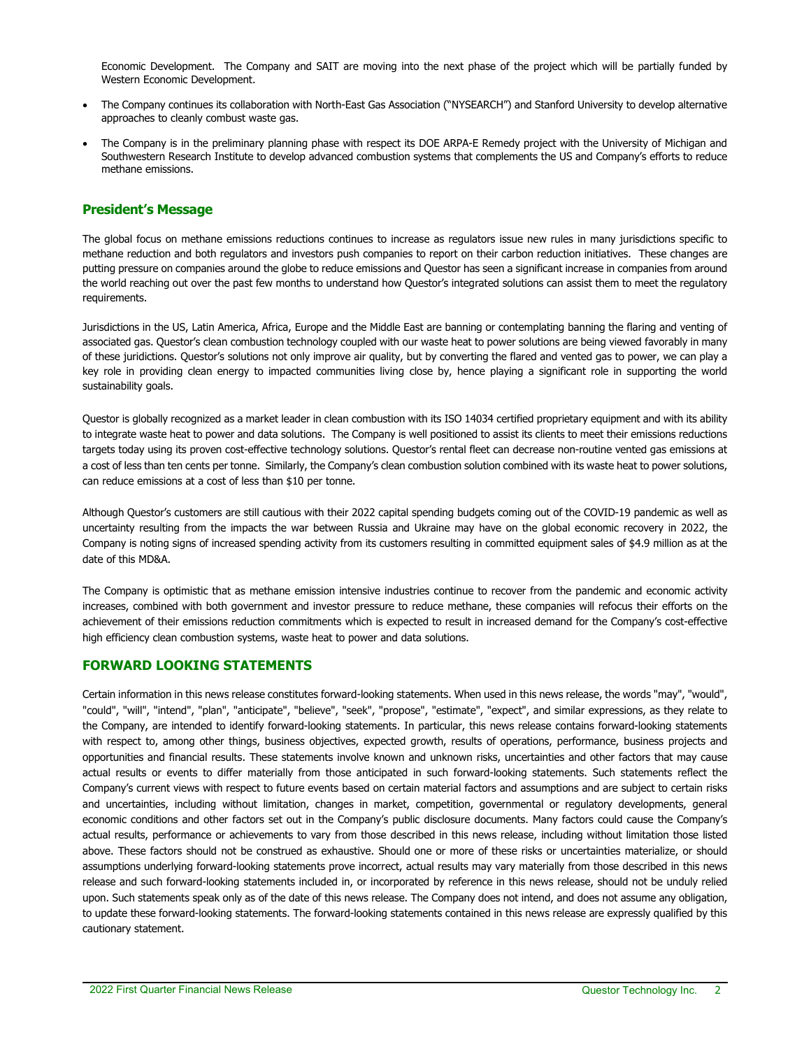Economic Development. The Company and SAIT are moving into the next phase of the project which will be partially funded by Western Economic Development.

- The Company continues its collaboration with North-East Gas Association ("NYSEARCH") and Stanford University to develop alternative approaches to cleanly combust waste gas.
- The Company is in the preliminary planning phase with respect its DOE ARPA-E Remedy project with the University of Michigan and Southwestern Research Institute to develop advanced combustion systems that complements the US and Company's efforts to reduce methane emissions.

#### President's Message

The global focus on methane emissions reductions continues to increase as regulators issue new rules in many jurisdictions specific to methane reduction and both regulators and investors push companies to report on their carbon reduction initiatives. These changes are putting pressure on companies around the globe to reduce emissions and Questor has seen a significant increase in companies from around the world reaching out over the past few months to understand how Questor's integrated solutions can assist them to meet the regulatory requirements.

Jurisdictions in the US, Latin America, Africa, Europe and the Middle East are banning or contemplating banning the flaring and venting of associated gas. Questor's clean combustion technology coupled with our waste heat to power solutions are being viewed favorably in many of these juridictions. Questor's solutions not only improve air quality, but by converting the flared and vented gas to power, we can play a key role in providing clean energy to impacted communities living close by, hence playing a significant role in supporting the world sustainability goals.

Questor is globally recognized as a market leader in clean combustion with its ISO 14034 certified proprietary equipment and with its ability to integrate waste heat to power and data solutions. The Company is well positioned to assist its clients to meet their emissions reductions targets today using its proven cost-effective technology solutions. Questor's rental fleet can decrease non-routine vented gas emissions at a cost of less than ten cents per tonne. Similarly, the Company's clean combustion solution combined with its waste heat to power solutions, can reduce emissions at a cost of less than \$10 per tonne.

Although Questor's customers are still cautious with their 2022 capital spending budgets coming out of the COVID-19 pandemic as well as uncertainty resulting from the impacts the war between Russia and Ukraine may have on the global economic recovery in 2022, the Company is noting signs of increased spending activity from its customers resulting in committed equipment sales of \$4.9 million as at the date of this MD&A.

The Company is optimistic that as methane emission intensive industries continue to recover from the pandemic and economic activity increases, combined with both government and investor pressure to reduce methane, these companies will refocus their efforts on the achievement of their emissions reduction commitments which is expected to result in increased demand for the Company's cost-effective high efficiency clean combustion systems, waste heat to power and data solutions.

### FORWARD LOOKING STATEMENTS

Certain information in this news release constitutes forward-looking statements. When used in this news release, the words "may", "would", "could", "will", "intend", "plan", "anticipate", "believe", "seek", "propose", "estimate", "expect", and similar expressions, as they relate to the Company, are intended to identify forward-looking statements. In particular, this news release contains forward-looking statements with respect to, among other things, business objectives, expected growth, results of operations, performance, business projects and opportunities and financial results. These statements involve known and unknown risks, uncertainties and other factors that may cause actual results or events to differ materially from those anticipated in such forward-looking statements. Such statements reflect the Company's current views with respect to future events based on certain material factors and assumptions and are subject to certain risks and uncertainties, including without limitation, changes in market, competition, governmental or regulatory developments, general economic conditions and other factors set out in the Company's public disclosure documents. Many factors could cause the Company's actual results, performance or achievements to vary from those described in this news release, including without limitation those listed above. These factors should not be construed as exhaustive. Should one or more of these risks or uncertainties materialize, or should assumptions underlying forward-looking statements prove incorrect, actual results may vary materially from those described in this news release and such forward-looking statements included in, or incorporated by reference in this news release, should not be unduly relied upon. Such statements speak only as of the date of this news release. The Company does not intend, and does not assume any obligation, to update these forward-looking statements. The forward-looking statements contained in this news release are expressly qualified by this cautionary statement.